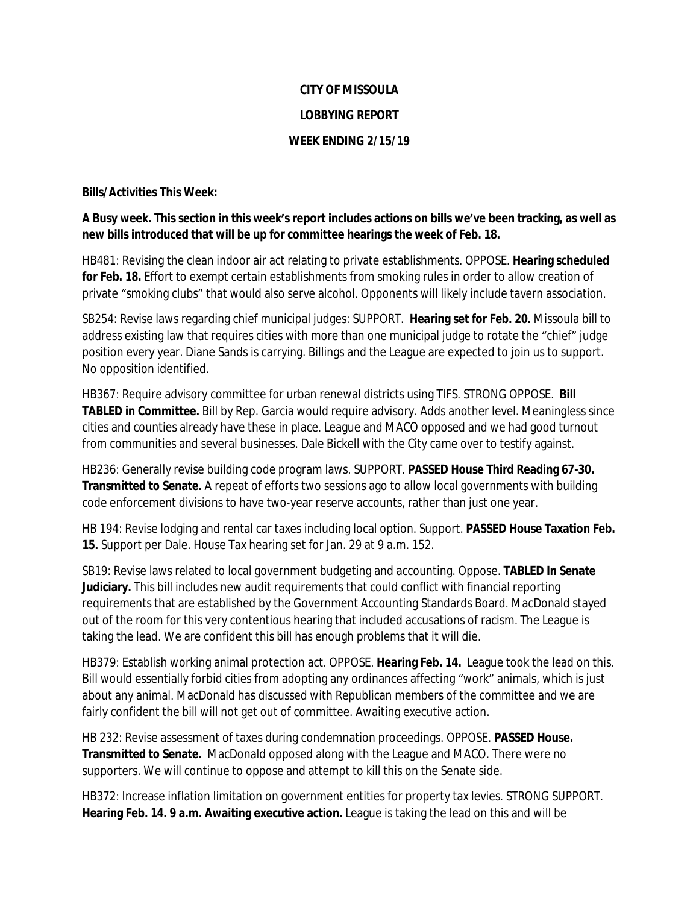## **CITY OF MISSOULA LOBBYING REPORT**

## **WEEK ENDING 2/15/19**

## **Bills/Activities This Week:**

**A Busy week. This section in this week's report includes actions on bills we've been tracking, as well as new bills introduced that will be up for committee hearings the week of Feb. 18.**

HB481: Revising the clean indoor air act relating to private establishments. OPPOSE. **Hearing scheduled for Feb. 18.** Effort to exempt certain establishments from smoking rules in order to allow creation of private "smoking clubs" that would also serve alcohol. Opponents will likely include tavern association.

SB254: Revise laws regarding chief municipal judges: SUPPORT. **Hearing set for Feb. 20.** Missoula bill to address existing law that requires cities with more than one municipal judge to rotate the "chief" judge position every year. Diane Sands is carrying. Billings and the League are expected to join us to support. No opposition identified.

HB367: Require advisory committee for urban renewal districts using TIFS. STRONG OPPOSE. **Bill TABLED in Committee.** Bill by Rep. Garcia would require advisory. Adds another level. Meaningless since cities and counties already have these in place. League and MACO opposed and we had good turnout from communities and several businesses. Dale Bickell with the City came over to testify against.

HB236: Generally revise building code program laws. SUPPORT. **PASSED House Third Reading 67-30. Transmitted to Senate.** A repeat of efforts two sessions ago to allow local governments with building code enforcement divisions to have two-year reserve accounts, rather than just one year.

HB 194: Revise lodging and rental car taxes including local option. Support. **PASSED House Taxation Feb. 15.** Support per Dale. House Tax hearing set for Jan. 29 at 9 a.m. 152.

SB19: Revise laws related to local government budgeting and accounting. Oppose. **TABLED In Senate Judiciary.** This bill includes new audit requirements that could conflict with financial reporting requirements that are established by the Government Accounting Standards Board. MacDonald stayed out of the room for this very contentious hearing that included accusations of racism. The League is taking the lead. We are confident this bill has enough problems that it will die.

HB379: Establish working animal protection act. OPPOSE. **Hearing Feb. 14.** League took the lead on this. Bill would essentially forbid cities from adopting any ordinances affecting "work" animals, which is just about any animal. MacDonald has discussed with Republican members of the committee and we are fairly confident the bill will not get out of committee. Awaiting executive action.

HB 232: Revise assessment of taxes during condemnation proceedings. OPPOSE. **PASSED House. Transmitted to Senate.** MacDonald opposed along with the League and MACO. There were no supporters. We will continue to oppose and attempt to kill this on the Senate side.

HB372: Increase inflation limitation on government entities for property tax levies. STRONG SUPPORT. **Hearing Feb. 14. 9 a.m. Awaiting executive action.** League is taking the lead on this and will be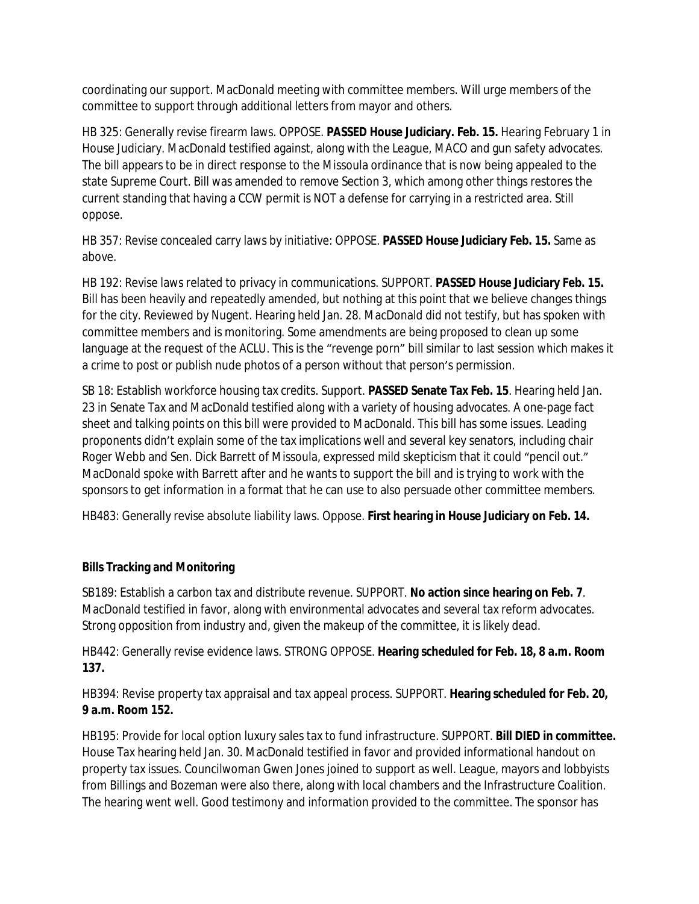coordinating our support. MacDonald meeting with committee members. Will urge members of the committee to support through additional letters from mayor and others.

HB 325: Generally revise firearm laws. OPPOSE. **PASSED House Judiciary. Feb. 15.** Hearing February 1 in House Judiciary. MacDonald testified against, along with the League, MACO and gun safety advocates. The bill appears to be in direct response to the Missoula ordinance that is now being appealed to the state Supreme Court. Bill was amended to remove Section 3, which among other things restores the current standing that having a CCW permit is NOT a defense for carrying in a restricted area. Still oppose.

HB 357: Revise concealed carry laws by initiative: OPPOSE. **PASSED House Judiciary Feb. 15.** Same as above.

HB 192: Revise laws related to privacy in communications. SUPPORT. **PASSED House Judiciary Feb. 15.** Bill has been heavily and repeatedly amended, but nothing at this point that we believe changes things for the city. Reviewed by Nugent. Hearing held Jan. 28. MacDonald did not testify, but has spoken with committee members and is monitoring. Some amendments are being proposed to clean up some language at the request of the ACLU. This is the "revenge porn" bill similar to last session which makes it a crime to post or publish nude photos of a person without that person's permission.

SB 18: Establish workforce housing tax credits. Support. **PASSED Senate Tax Feb. 15**. Hearing held Jan. 23 in Senate Tax and MacDonald testified along with a variety of housing advocates. A one-page fact sheet and talking points on this bill were provided to MacDonald. This bill has some issues. Leading proponents didn't explain some of the tax implications well and several key senators, including chair Roger Webb and Sen. Dick Barrett of Missoula, expressed mild skepticism that it could "pencil out." MacDonald spoke with Barrett after and he wants to support the bill and is trying to work with the sponsors to get information in a format that he can use to also persuade other committee members.

HB483: Generally revise absolute liability laws. Oppose. **First hearing in House Judiciary on Feb. 14.**

## **Bills Tracking and Monitoring**

SB189: Establish a carbon tax and distribute revenue. SUPPORT. **No action since hearing on Feb. 7**. MacDonald testified in favor, along with environmental advocates and several tax reform advocates. Strong opposition from industry and, given the makeup of the committee, it is likely dead.

HB442: Generally revise evidence laws. STRONG OPPOSE. **Hearing scheduled for Feb. 18, 8 a.m. Room 137.** 

HB394: Revise property tax appraisal and tax appeal process. SUPPORT. **Hearing scheduled for Feb. 20, 9 a.m. Room 152.**

HB195: Provide for local option luxury sales tax to fund infrastructure. SUPPORT. **Bill DIED in committee.** House Tax hearing held Jan. 30. MacDonald testified in favor and provided informational handout on property tax issues. Councilwoman Gwen Jones joined to support as well. League, mayors and lobbyists from Billings and Bozeman were also there, along with local chambers and the Infrastructure Coalition. The hearing went well. Good testimony and information provided to the committee. The sponsor has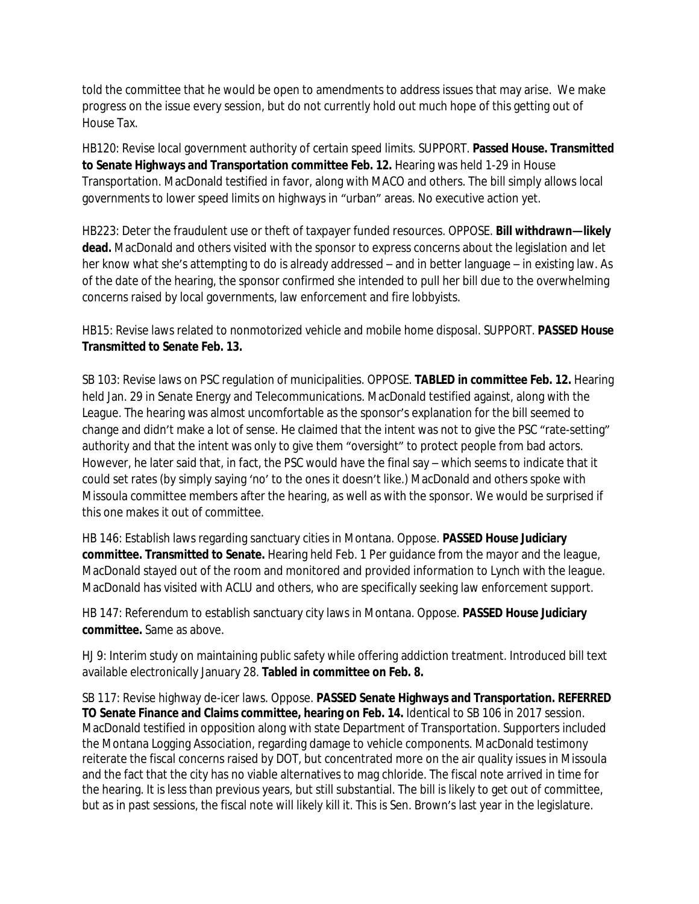told the committee that he would be open to amendments to address issues that may arise. We make progress on the issue every session, but do not currently hold out much hope of this getting out of House Tax.

HB120: Revise local government authority of certain speed limits. SUPPORT. **Passed House. Transmitted to Senate Highways and Transportation committee Feb. 12.** Hearing was held 1-29 in House Transportation. MacDonald testified in favor, along with MACO and others. The bill simply allows local governments to lower speed limits on highways in "urban" areas. No executive action yet.

HB223: Deter the fraudulent use or theft of taxpayer funded resources. OPPOSE. **Bill withdrawn—likely dead.** MacDonald and others visited with the sponsor to express concerns about the legislation and let her know what she's attempting to do is already addressed – and in better language – in existing law. As of the date of the hearing, the sponsor confirmed she intended to pull her bill due to the overwhelming concerns raised by local governments, law enforcement and fire lobbyists.

HB15: Revise laws related to nonmotorized vehicle and mobile home disposal. SUPPORT. **PASSED House Transmitted to Senate Feb. 13.**

SB 103: Revise laws on PSC regulation of municipalities. OPPOSE. **TABLED in committee Feb. 12.** Hearing held Jan. 29 in Senate Energy and Telecommunications. MacDonald testified against, along with the League. The hearing was almost uncomfortable as the sponsor's explanation for the bill seemed to change and didn't make a lot of sense. He claimed that the intent was not to give the PSC "rate-setting" authority and that the intent was only to give them "oversight" to protect people from bad actors. However, he later said that, in fact, the PSC would have the final say – which seems to indicate that it could set rates (by simply saying 'no' to the ones it doesn't like.) MacDonald and others spoke with Missoula committee members after the hearing, as well as with the sponsor. We would be surprised if this one makes it out of committee.

HB 146: Establish laws regarding sanctuary cities in Montana. Oppose. **PASSED House Judiciary committee. Transmitted to Senate.** Hearing held Feb. 1 Per guidance from the mayor and the league, MacDonald stayed out of the room and monitored and provided information to Lynch with the league. MacDonald has visited with ACLU and others, who are specifically seeking law enforcement support.

HB 147: Referendum to establish sanctuary city laws in Montana. Oppose. **PASSED House Judiciary committee.** Same as above.

HJ 9: Interim study on maintaining public safety while offering addiction treatment. Introduced bill text available electronically January 28. **Tabled in committee on Feb. 8.**

SB 117: Revise highway de-icer laws. Oppose. **PASSED Senate Highways and Transportation. REFERRED TO Senate Finance and Claims committee, hearing on Feb. 14.** Identical to SB 106 in 2017 session. MacDonald testified in opposition along with state Department of Transportation. Supporters included the Montana Logging Association, regarding damage to vehicle components. MacDonald testimony reiterate the fiscal concerns raised by DOT, but concentrated more on the air quality issues in Missoula and the fact that the city has no viable alternatives to mag chloride. The fiscal note arrived in time for the hearing. It is less than previous years, but still substantial. The bill is likely to get out of committee, but as in past sessions, the fiscal note will likely kill it. This is Sen. Brown's last year in the legislature.